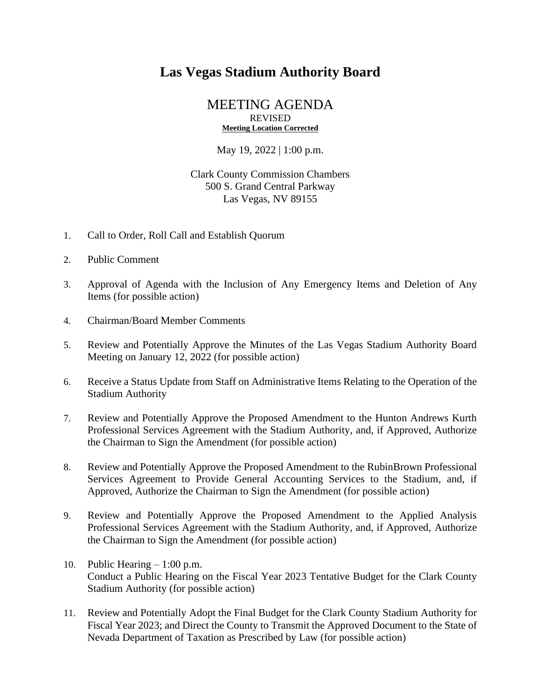## **Las Vegas Stadium Authority Board**

## MEETING AGENDA REVISED **Meeting Location Corrected**

May 19, 2022 | 1:00 p.m.

## Clark County Commission Chambers 500 S. Grand Central Parkway Las Vegas, NV 89155

- 1. Call to Order, Roll Call and Establish Quorum
- 2. Public Comment
- 3. Approval of Agenda with the Inclusion of Any Emergency Items and Deletion of Any Items (for possible action)
- 4. Chairman/Board Member Comments
- 5. Review and Potentially Approve the Minutes of the Las Vegas Stadium Authority Board Meeting on January 12, 2022 (for possible action)
- 6. Receive a Status Update from Staff on Administrative Items Relating to the Operation of the Stadium Authority
- 7. Review and Potentially Approve the Proposed Amendment to the Hunton Andrews Kurth Professional Services Agreement with the Stadium Authority, and, if Approved, Authorize the Chairman to Sign the Amendment (for possible action)
- 8. Review and Potentially Approve the Proposed Amendment to the RubinBrown Professional Services Agreement to Provide General Accounting Services to the Stadium, and, if Approved, Authorize the Chairman to Sign the Amendment (for possible action)
- 9. Review and Potentially Approve the Proposed Amendment to the Applied Analysis Professional Services Agreement with the Stadium Authority, and, if Approved, Authorize the Chairman to Sign the Amendment (for possible action)
- 10. Public Hearing 1:00 p.m. Conduct a Public Hearing on the Fiscal Year 2023 Tentative Budget for the Clark County Stadium Authority (for possible action)
- 11. Review and Potentially Adopt the Final Budget for the Clark County Stadium Authority for Fiscal Year 2023; and Direct the County to Transmit the Approved Document to the State of Nevada Department of Taxation as Prescribed by Law (for possible action)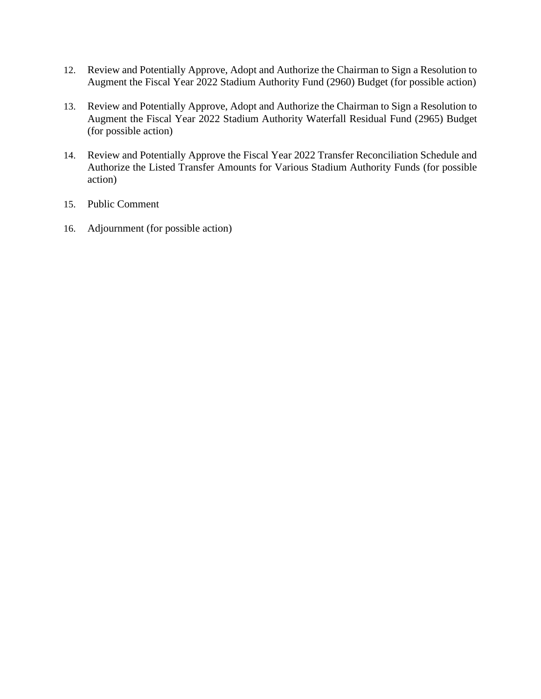- 12. Review and Potentially Approve, Adopt and Authorize the Chairman to Sign a Resolution to Augment the Fiscal Year 2022 Stadium Authority Fund (2960) Budget (for possible action)
- 13. Review and Potentially Approve, Adopt and Authorize the Chairman to Sign a Resolution to Augment the Fiscal Year 2022 Stadium Authority Waterfall Residual Fund (2965) Budget (for possible action)
- 14. Review and Potentially Approve the Fiscal Year 2022 Transfer Reconciliation Schedule and Authorize the Listed Transfer Amounts for Various Stadium Authority Funds (for possible action)
- 15. Public Comment
- 16. Adjournment (for possible action)